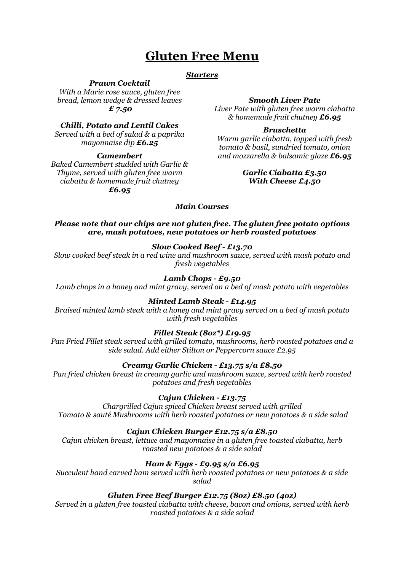# **Gluten Free Menu**

#### *Starters*

*Prawn Cocktail*

*With a Marie rose sauce, gluten free bread, lemon wedge & dressed leaves £ 7.50*

*Chilli, Potato and Lentil Cakes Served with a bed of salad & a paprika mayonnaise dip £6.25*

#### *Camembert*

*Baked Camembert studded with Garlic & Thyme, served with gluten free warm ciabatta & homemade fruit chutney £6.95*

# *Smooth Liver Pate*

*Liver Pate with gluten free warm ciabatta & homemade fruit chutney £6.95*

#### *Bruschetta*

*Warm garlic ciabatta, topped with fresh tomato & basil, sundried tomato, onion and mozzarella & balsamic glaze £6.95*

#### *Garlic Ciabatta £3.50 With Cheese £4.50*

# *Main Courses*

*Please note that our chips are not gluten free. The gluten free potato options are, mash potatoes, new potatoes or herb roasted potatoes*

#### *Slow Cooked Beef - £13.70*

*Slow cooked beef steak in a red wine and mushroom sauce, served with mash potato and fresh vegetables* 

#### *Lamb Chops - £9.50*

*Lamb chops in a honey and mint gravy, served on a bed of mash potato with vegetables*

# *Minted Lamb Steak - £14.95*

*Braised minted lamb steak with a honey and mint gravy served on a bed of mash potato with fresh vegetables*

#### *Fillet Steak (8oz\*) £19.95*

*Pan Fried Fillet steak served with grilled tomato, mushrooms, herb roasted potatoes and a side salad. Add either Stilton or Peppercorn sauce £2.95*

# *Creamy Garlic Chicken - £13.75 s/a £8.50*

*Pan fried chicken breast in creamy garlic and mushroom sauce, served with herb roasted potatoes and fresh vegetables* 

*Cajun Chicken - £13.75*

*Chargrilled Cajun spiced Chicken breast served with grilled Tomato & sauté Mushrooms with herb roasted potatoes or new potatoes & a side salad* 

#### *Cajun Chicken Burger £12.75 s/a £8.50*

*Cajun chicken breast, lettuce and mayonnaise in a gluten free toasted ciabatta, herb roasted new potatoes & a side salad* 

#### *Ham & Eggs - £9.95 s/a £6.95*

*Succulent hand carved ham served with herb roasted potatoes or new potatoes & a side salad*

#### *Gluten Free Beef Burger £12.75 (8oz) £8.50 (4oz)*

*Served in a gluten free toasted ciabatta with cheese, bacon and onions, served with herb roasted potatoes & a side salad*